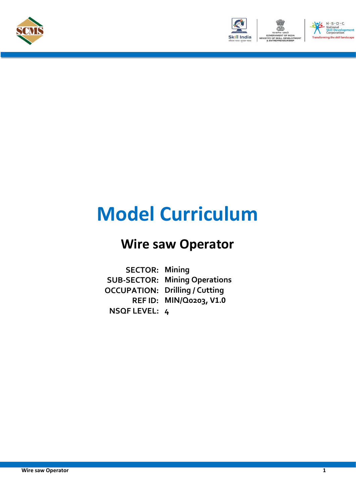



# **Model Curriculum**

## **Wire saw Operator**

**SECTOR: Mining SUB-SECTOR: Mining Operations OCCUPATION: Drilling / Cutting REF ID: MIN/Q0203, V1.0 NSQF LEVEL: 4**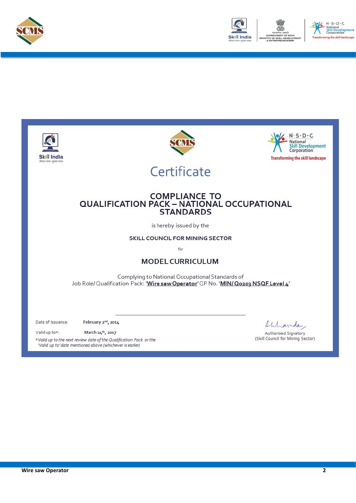



.<br>he skill landscape

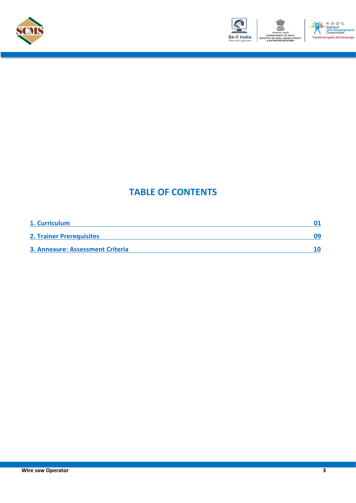





### **TABLE OF CONTENTS**

| 1. Curriculum                           |    |
|-----------------------------------------|----|
| <b>2. Trainer Prerequisites</b>         | 09 |
| <b>3. Annexure: Assessment Criteria</b> |    |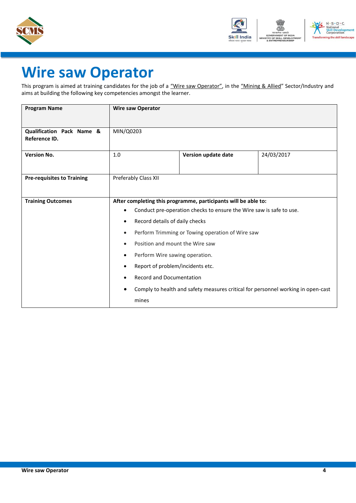



# **Wire saw Operator**

This program is aimed at training candidates for the job of a "Wire saw Operator", in the "Mining & Allied" Sector/Industry and aims at building the following key competencies amongst the learner.

| <b>Program Name</b>                        | <b>Wire saw Operator</b>                                                         |                                                                |            |
|--------------------------------------------|----------------------------------------------------------------------------------|----------------------------------------------------------------|------------|
|                                            |                                                                                  |                                                                |            |
| Qualification Pack Name &<br>Reference ID. | MIN/Q0203                                                                        |                                                                |            |
|                                            |                                                                                  |                                                                |            |
| <b>Version No.</b>                         | 1.0                                                                              | Version update date                                            | 24/03/2017 |
|                                            |                                                                                  |                                                                |            |
| <b>Pre-requisites to Training</b>          | Preferably Class XII                                                             |                                                                |            |
|                                            |                                                                                  |                                                                |            |
| <b>Training Outcomes</b>                   |                                                                                  | After completing this programme, participants will be able to: |            |
|                                            | Conduct pre-operation checks to ensure the Wire saw is safe to use.<br>$\bullet$ |                                                                |            |
|                                            | Record details of daily checks                                                   |                                                                |            |
|                                            | $\bullet$                                                                        | Perform Trimming or Towing operation of Wire saw               |            |
|                                            | Position and mount the Wire saw<br>$\bullet$                                     |                                                                |            |
|                                            | Perform Wire sawing operation.<br>$\bullet$                                      |                                                                |            |
|                                            | Report of problem/incidents etc.                                                 |                                                                |            |
|                                            | <b>Record and Documentation</b>                                                  |                                                                |            |
|                                            | Comply to health and safety measures critical for personnel working in open-cast |                                                                |            |
|                                            | mines                                                                            |                                                                |            |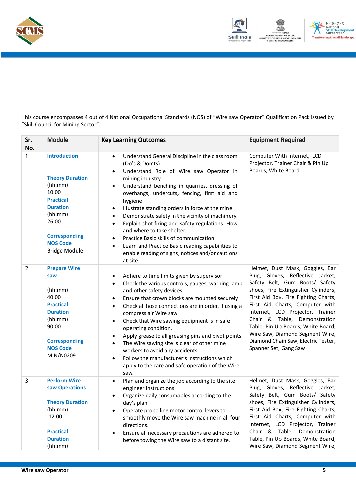



This course encompasses 4 out of 4 National Occupational Standards (NOS) of "Wire saw Operator" Qualification Pack issued by "Skill Council for Mining Sector".

| Sr.<br>No.     | <b>Module</b>                                                                                                                                                                                   | <b>Key Learning Outcomes</b>                                                                                                                                                                                                                                                                                                                                                                                                                                                                                                                                                                                                                                                                               | <b>Equipment Required</b>                                                                                                                                                                                                                                                                                                                                                                                                            |
|----------------|-------------------------------------------------------------------------------------------------------------------------------------------------------------------------------------------------|------------------------------------------------------------------------------------------------------------------------------------------------------------------------------------------------------------------------------------------------------------------------------------------------------------------------------------------------------------------------------------------------------------------------------------------------------------------------------------------------------------------------------------------------------------------------------------------------------------------------------------------------------------------------------------------------------------|--------------------------------------------------------------------------------------------------------------------------------------------------------------------------------------------------------------------------------------------------------------------------------------------------------------------------------------------------------------------------------------------------------------------------------------|
| $\mathbf{1}$   | <b>Introduction</b><br><b>Theory Duration</b><br>(hh:mm)<br>10:00<br><b>Practical</b><br><b>Duration</b><br>(hh:mm)<br>26:00<br><b>Corresponding</b><br><b>NOS Code</b><br><b>Bridge Module</b> | Understand General Discipline in the class room<br>$\bullet$<br>(Do's & Don'ts)<br>Understand Role of Wire saw Operator in<br>$\bullet$<br>mining industry<br>Understand benching in quarries, dressing of<br>$\bullet$<br>overhangs, undercuts, fencing, first aid and<br>hygiene<br>Illustrate standing orders in force at the mine.<br>$\bullet$<br>Demonstrate safety in the vicinity of machinery.<br>$\bullet$<br>Explain shot-firing and safety regulations. How<br>$\bullet$<br>and where to take shelter.<br>Practice Basic skills of communication<br>$\bullet$<br>Learn and Practice Basic reading capabilities to<br>$\bullet$<br>enable reading of signs, notices and/or cautions<br>at site. | Computer With Internet, LCD<br>Projector, Trainer Chair & Pin Up<br>Boards, White Board                                                                                                                                                                                                                                                                                                                                              |
| $\overline{2}$ | <b>Prepare Wire</b><br>saw<br>(hh:mm)<br>40:00<br><b>Practical</b><br><b>Duration</b><br>(hh:mm)<br>90:00<br><b>Corresponding</b><br><b>NOS Code</b><br>MIN/N0209                               | Adhere to time limits given by supervisor<br>$\bullet$<br>Check the various controls, gauges, warning lamp<br>$\bullet$<br>and other safety devices<br>Ensure that crown blocks are mounted securely<br>$\bullet$<br>Check all hose connections are in order, if using a<br>$\bullet$<br>compress air Wire saw<br>Check that Wire sawing equipment is in safe<br>$\bullet$<br>operating condition.<br>Apply grease to all greasing pins and pivot points<br>$\bullet$<br>The Wire sawing site is clear of other mine<br>$\bullet$<br>workers to avoid any accidents.<br>Follow the manufacturer's instructions which<br>$\bullet$<br>apply to the care and safe operation of the Wire<br>saw.              | Helmet, Dust Mask, Goggles, Ear<br>Plug, Gloves, Reflective Jacket,<br>Safety Belt, Gum Boots/ Safety<br>shoes, Fire Extinguisher Cylinders,<br>First Aid Box, Fire Fighting Charts,<br>First Aid Charts, Computer with<br>Internet, LCD Projector, Trainer<br>Chair & Table, Demonstration<br>Table, Pin Up Boards, White Board,<br>Wire Saw, Diamond Segment Wire,<br>Diamond Chain Saw, Electric Tester,<br>Spanner Set, Gang Saw |
| 3              | <b>Perform Wire</b><br>saw Operations<br><b>Theory Duration</b><br>(hh:mm)<br>12:00<br><b>Practical</b><br><b>Duration</b><br>(hh:mm)                                                           | Plan and organize the job according to the site<br>$\bullet$<br>engineer instructions<br>Organize daily consumables according to the<br>$\bullet$<br>day's plan<br>Operate propelling motor control levers to<br>$\bullet$<br>smoothly move the Wire saw machine in all four<br>directions.<br>Ensure all necessary precautions are adhered to<br>$\bullet$<br>before towing the Wire saw to a distant site.                                                                                                                                                                                                                                                                                               | Helmet, Dust Mask, Goggles, Ear<br>Plug, Gloves, Reflective Jacket,<br>Safety Belt, Gum Boots/ Safety<br>shoes, Fire Extinguisher Cylinders,<br>First Aid Box, Fire Fighting Charts,<br>First Aid Charts, Computer with<br>Internet, LCD Projector, Trainer<br>Chair & Table, Demonstration<br>Table, Pin Up Boards, White Board,<br>Wire Saw, Diamond Segment Wire,                                                                 |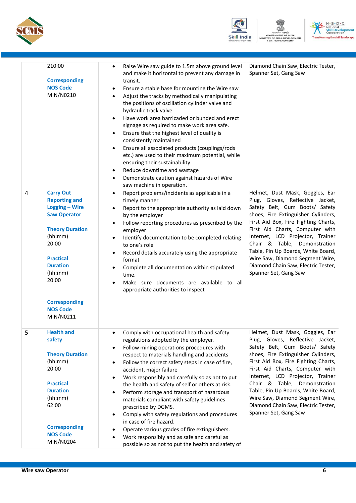





|   | 210:00<br><b>Corresponding</b><br><b>NOS Code</b><br>MIN/N0210                                                                                                                                                                                     | Raise Wire saw guide to 1.5m above ground level<br>$\bullet$<br>and make it horizontal to prevent any damage in<br>transit.<br>Ensure a stable base for mounting the Wire saw<br>$\bullet$<br>Adjust the tracks by methodically manipulating<br>$\bullet$<br>the positions of oscillation cylinder valve and<br>hydraulic track valve.<br>Have work area barricaded or bunded and erect<br>$\bullet$<br>signage as required to make work area safe.<br>Ensure that the highest level of quality is<br>$\bullet$<br>consistently maintained<br>Ensure all associated products (couplings/rods<br>$\bullet$<br>etc.) are used to their maximum potential, while<br>ensuring their sustainability<br>Reduce downtime and wastage<br>$\bullet$<br>Demonstrate caution against hazards of Wire<br>$\bullet$<br>saw machine in operation. | Diamond Chain Saw, Electric Tester,<br>Spanner Set, Gang Saw                                                                                                                                                                                                                                                                                                                                                                         |
|---|----------------------------------------------------------------------------------------------------------------------------------------------------------------------------------------------------------------------------------------------------|-------------------------------------------------------------------------------------------------------------------------------------------------------------------------------------------------------------------------------------------------------------------------------------------------------------------------------------------------------------------------------------------------------------------------------------------------------------------------------------------------------------------------------------------------------------------------------------------------------------------------------------------------------------------------------------------------------------------------------------------------------------------------------------------------------------------------------------|--------------------------------------------------------------------------------------------------------------------------------------------------------------------------------------------------------------------------------------------------------------------------------------------------------------------------------------------------------------------------------------------------------------------------------------|
| 4 | <b>Carry Out</b><br><b>Reporting and</b><br>Logging - Wire<br><b>Saw Operator</b><br><b>Theory Duration</b><br>(hh:mm)<br>20:00<br><b>Practical</b><br><b>Duration</b><br>(hh:mm)<br>20:00<br><b>Corresponding</b><br><b>NOS Code</b><br>MIN/N0211 | Report problems/incidents as applicable in a<br>$\bullet$<br>timely manner<br>Report to the appropriate authority as laid down<br>$\bullet$<br>by the employer<br>Follow reporting procedures as prescribed by the<br>$\bullet$<br>employer<br>Identify documentation to be completed relating<br>$\bullet$<br>to one's role<br>Record details accurately using the appropriate<br>$\bullet$<br>format<br>Complete all documentation within stipulated<br>$\bullet$<br>time.<br>Make sure documents are available to all<br>appropriate authorities to inspect                                                                                                                                                                                                                                                                      | Helmet, Dust Mask, Goggles, Ear<br>Plug, Gloves, Reflective Jacket,<br>Safety Belt, Gum Boots/ Safety<br>shoes, Fire Extinguisher Cylinders,<br>First Aid Box, Fire Fighting Charts,<br>First Aid Charts, Computer with<br>Internet, LCD Projector, Trainer<br>Chair & Table, Demonstration<br>Table, Pin Up Boards, White Board,<br>Wire Saw, Diamond Segment Wire,<br>Diamond Chain Saw, Electric Tester,<br>Spanner Set, Gang Saw |
| 5 | <b>Health and</b><br>safety<br><b>Theory Duration</b><br>(hh:mm)<br>20:00<br><b>Practical</b><br><b>Duration</b><br>(hh:mm)<br>62:00<br><b>Corresponding</b><br><b>NOS Code</b><br>MIN/N0204                                                       | Comply with occupational health and safety<br>$\bullet$<br>regulations adopted by the employer.<br>Follow mining operations procedures with<br>$\bullet$<br>respect to materials handling and accidents<br>Follow the correct safety steps in case of fire,<br>$\bullet$<br>accident, major failure<br>Work responsibly and carefully so as not to put<br>$\bullet$<br>the health and safety of self or others at risk.<br>Perform storage and transport of hazardous<br>$\bullet$<br>materials compliant with safety guidelines<br>prescribed by DGMS.<br>Comply with safety regulations and procedures<br>$\bullet$<br>in case of fire hazard.<br>Operate various grades of fire extinguishers.<br>Work responsibly and as safe and careful as<br>possible so as not to put the health and safety of                              | Helmet, Dust Mask, Goggles, Ear<br>Plug, Gloves, Reflective Jacket,<br>Safety Belt, Gum Boots/ Safety<br>shoes, Fire Extinguisher Cylinders,<br>First Aid Box, Fire Fighting Charts,<br>First Aid Charts, Computer with<br>Internet, LCD Projector, Trainer<br>Chair & Table, Demonstration<br>Table, Pin Up Boards, White Board,<br>Wire Saw, Diamond Segment Wire,<br>Diamond Chain Saw, Electric Tester,<br>Spanner Set, Gang Saw |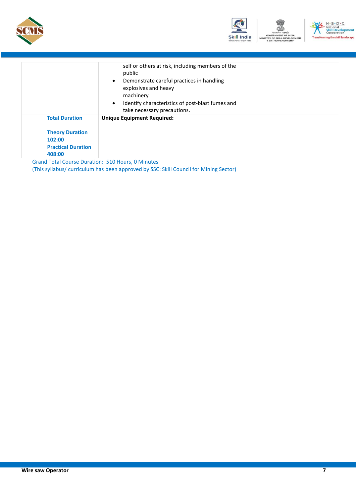





|                                                                                                  | self or others at risk, including members of the<br>public<br>Demonstrate careful practices in handling<br>explosives and heavy<br>machinery.<br>Identify characteristics of post-blast fumes and<br>$\bullet$<br>take necessary precautions. |
|--------------------------------------------------------------------------------------------------|-----------------------------------------------------------------------------------------------------------------------------------------------------------------------------------------------------------------------------------------------|
| <b>Total Duration</b><br><b>Theory Duration</b><br>102:00<br><b>Practical Duration</b><br>408:00 | <b>Unique Equipment Required:</b>                                                                                                                                                                                                             |

<span id="page-6-0"></span>Grand Total Course Duration: 510 Hours, 0 Minutes (This syllabus/ curriculum has been approved by SSC: Skill Council for Mining Sector)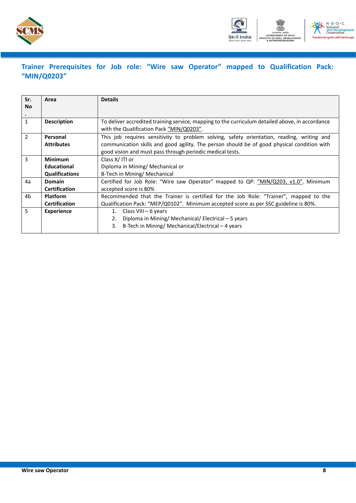



### **Trainer Prerequisites for Job role: "Wire saw Operator" mapped to Qualification Pack: "MIN/Q0203"**

| Sr.<br><b>No</b> | Area                  | <b>Details</b>                                                                                                                              |  |  |  |
|------------------|-----------------------|---------------------------------------------------------------------------------------------------------------------------------------------|--|--|--|
|                  |                       |                                                                                                                                             |  |  |  |
| 1                | <b>Description</b>    | To deliver accredited training service, mapping to the curriculum detailed above, in accordance<br>with the Qualification Pack "MIN/Q0203". |  |  |  |
| $\mathcal{P}$    | Personal              | This job requires sensitivity to problem solving, safety orientation, reading, writing and                                                  |  |  |  |
|                  | <b>Attributes</b>     | communication skills and good agility. The person should be of good physical condition with                                                 |  |  |  |
|                  |                       | good vision and must pass through periodic medical tests.                                                                                   |  |  |  |
| 3                | <b>Minimum</b>        | Class X/ITI or                                                                                                                              |  |  |  |
|                  | Educational           | Diploma in Mining/ Mechanical or                                                                                                            |  |  |  |
|                  | <b>Qualifications</b> | B-Tech in Mining/ Mechanical                                                                                                                |  |  |  |
| 4a               | <b>Domain</b>         | Certified for Job Role: "Wire saw Operator" mapped to QP: "MIN/Q203, v1.0". Minimum                                                         |  |  |  |
|                  | <b>Certification</b>  | accepted score is 80%                                                                                                                       |  |  |  |
| 4b               | <b>Platform</b>       | Recommended that the Trainer is certified for the Job Role: "Trainer", mapped to the                                                        |  |  |  |
|                  | <b>Certification</b>  | Qualification Pack: "MEP/Q0102". Minimum accepted score as per SSC guideline is 80%.                                                        |  |  |  |
| 5                | <b>Experience</b>     | Class VIII - 6 years<br>1.                                                                                                                  |  |  |  |
|                  |                       | Diploma in Mining/ Mechanical/ Electrical - 5 years<br>2.                                                                                   |  |  |  |
|                  |                       | B-Tech in Mining/ Mechanical/Electrical – 4 years<br>3.                                                                                     |  |  |  |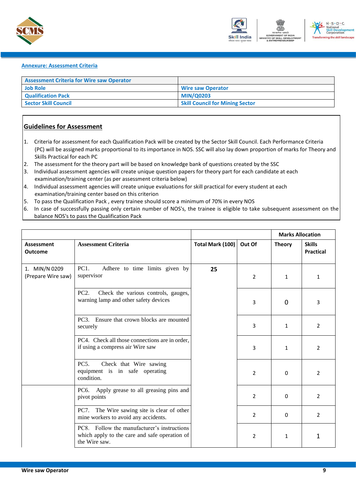



#### <span id="page-8-0"></span>**Annexure: Assessment Criteria**

| <b>Assessment Criteria for Wire saw Operator</b> |                                        |
|--------------------------------------------------|----------------------------------------|
| <b>Job Role</b>                                  | <b>Wire saw Operator</b>               |
| <b>Qualification Pack</b>                        | <b>MIN/Q0203</b>                       |
| Sector Skill Council                             | <b>Skill Council for Mining Sector</b> |

#### **Guidelines for Assessment**

- 1. Criteria for assessment for each Qualification Pack will be created by the Sector Skill Council. Each Performance Criteria (PC) will be assigned marks proportional to its importance in NOS. SSC will also lay down proportion of marks for Theory and Skills Practical for each PC
- 2. The assessment for the theory part will be based on knowledge bank of questions created by the SSC
- 3. Individual assessment agencies will create unique question papers for theory part for each candidate at each examination/training center (as per assessment criteria below)
- 4. Individual assessment agencies will create unique evaluations for skill practical for every student at each examination/training center based on this criterion
- 5. To pass the Qualification Pack , every trainee should score a minimum of 70% in every NOS
- 6. In case of successfully passing only certain number of NOS's, the trainee is eligible to take subsequent assessment on the balance NOS's to pass the Qualification Pack

|                                     |                                                                                                               |                  |                | <b>Marks Allocation</b> |                                   |
|-------------------------------------|---------------------------------------------------------------------------------------------------------------|------------------|----------------|-------------------------|-----------------------------------|
| <b>Assessment</b><br><b>Outcome</b> | <b>Assessment Criteria</b>                                                                                    | Total Mark (100) | Out Of         | <b>Theory</b>           | <b>Skills</b><br><b>Practical</b> |
| 1. MIN/N 0209<br>(Prepare Wire saw) | PC1.<br>Adhere to time limits given by<br>supervisor                                                          | 25               | $\overline{2}$ | 1                       | 1                                 |
|                                     | Check the various controls, gauges,<br>PC2.<br>warning lamp and other safety devices                          |                  | 3              | $\Omega$                | 3                                 |
|                                     | PC3. Ensure that crown blocks are mounted<br>securely                                                         |                  | 3              | $\mathbf{1}$            | $\overline{2}$                    |
|                                     | PC4. Check all those connections are in order,<br>if using a compress air Wire saw                            |                  | 3              | 1                       | $\overline{2}$                    |
|                                     | PC5.<br>Check that Wire sawing<br>equipment is in safe operating<br>condition.                                |                  | $\overline{2}$ | $\Omega$                | $\overline{2}$                    |
|                                     | PC6. Apply grease to all greasing pins and<br>pivot points                                                    |                  | $\overline{2}$ | $\Omega$                | $\overline{2}$                    |
|                                     | PC7. The Wire sawing site is clear of other<br>mine workers to avoid any accidents.                           |                  | $\overline{2}$ | $\Omega$                | $\overline{2}$                    |
|                                     | PC8. Follow the manufacturer's instructions<br>which apply to the care and safe operation of<br>the Wire saw. |                  | $\overline{2}$ | 1                       | 1                                 |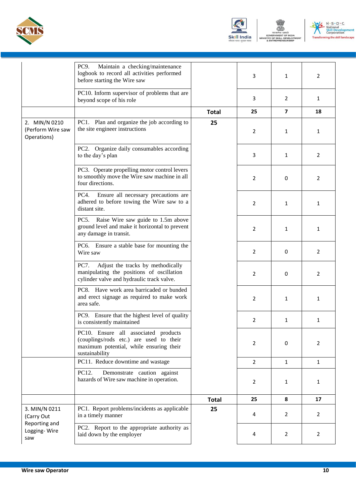





|                                                   | Maintain a checking/maintenance<br>PC9.<br>logbook to record all activities performed<br>before starting the Wire saw                        |              | 3              | $\mathbf{1}$            | 2              |
|---------------------------------------------------|----------------------------------------------------------------------------------------------------------------------------------------------|--------------|----------------|-------------------------|----------------|
|                                                   | PC10. Inform supervisor of problems that are<br>beyond scope of his role                                                                     |              | 3              | 2                       | 1              |
|                                                   |                                                                                                                                              | <b>Total</b> | 25             | $\overline{\mathbf{z}}$ | 18             |
| 2. MIN/N 0210<br>(Perform Wire saw<br>Operations) | PC1. Plan and organize the job according to<br>the site engineer instructions                                                                | 25           | 2              | 1                       | 1              |
|                                                   | PC2. Organize daily consumables according<br>to the day's plan                                                                               |              | 3              | 1                       | 2              |
|                                                   | PC3. Operate propelling motor control levers<br>to smoothly move the Wire saw machine in all<br>four directions.                             |              | 2              | 0                       | 2              |
|                                                   | PC4.<br>Ensure all necessary precautions are<br>adhered to before towing the Wire saw to a<br>distant site.                                  |              | 2              | 1                       | 1              |
|                                                   | PC5. Raise Wire saw guide to 1.5m above<br>ground level and make it horizontal to prevent<br>any damage in transit.                          |              | 2              | $\mathbf{1}$            | 1              |
|                                                   | PC6. Ensure a stable base for mounting the<br>Wire saw                                                                                       |              | 2              | 0                       | 2              |
|                                                   | Adjust the tracks by methodically<br><b>PC7.</b><br>manipulating the positions of oscillation<br>cylinder valve and hydraulic track valve.   |              | 2              | 0                       | 2              |
|                                                   | PC8. Have work area barricaded or bunded<br>and erect signage as required to make work<br>area safe.                                         |              | 2              | 1                       | 1              |
|                                                   | PC9. Ensure that the highest level of quality<br>is consistently maintained                                                                  |              | $\overline{2}$ | 1                       | 1              |
|                                                   | PC10. Ensure all associated products<br>(couplings/rods etc.) are used to their<br>maximum potential, while ensuring their<br>sustainability |              | 2              | 0                       | 2              |
|                                                   | PC11. Reduce downtime and wastage                                                                                                            |              | $\overline{2}$ | $\mathbf{1}$            | $\mathbf{1}$   |
|                                                   | PC12.<br>Demonstrate caution against<br>hazards of Wire saw machine in operation.                                                            |              | $\overline{2}$ | $\mathbf{1}$            | 1              |
|                                                   |                                                                                                                                              | <b>Total</b> | 25             | 8                       | 17             |
| 3. MIN/N 0211<br>(Carry Out                       | PC1. Report problems/incidents as applicable<br>in a timely manner                                                                           | 25           | 4              | $\overline{2}$          | $\overline{2}$ |
| Reporting and<br>Logging-Wire<br>saw              | PC2. Report to the appropriate authority as<br>laid down by the employer                                                                     |              | 4              | 2                       | 2              |
|                                                   |                                                                                                                                              |              |                |                         |                |